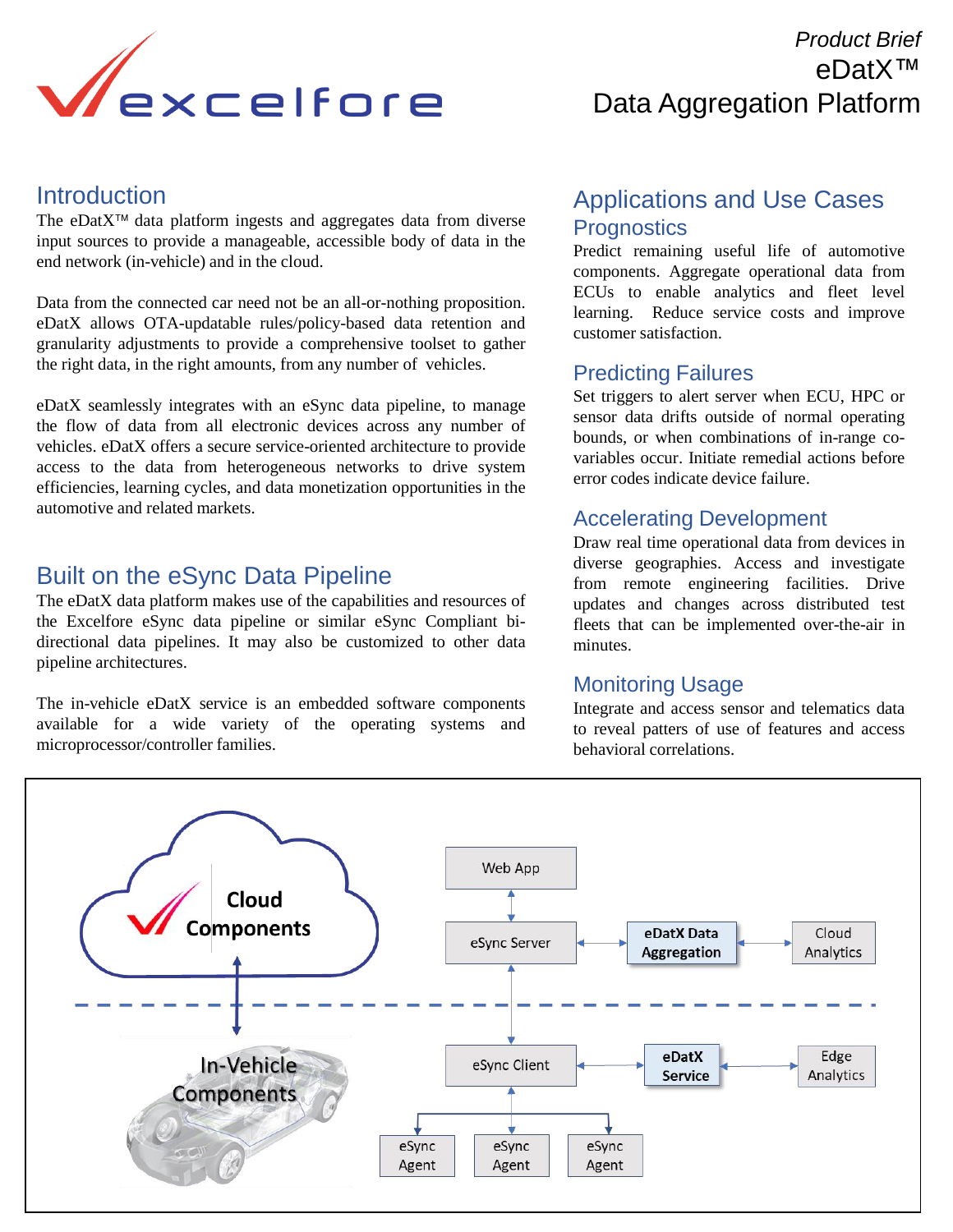

## *Product Brief*  eDatX™ Data Aggregation Platform

#### **Introduction**

The eDat $X^{\tau M}$  data platform ingests and aggregates data from diverse input sources to provide a manageable, accessible body of data in the end network (in-vehicle) and in the cloud.

Data from the connected car need not be an all-or-nothing proposition. eDatX allows OTA-updatable rules/policy-based data retention and granularity adjustments to provide a comprehensive toolset to gather the right data, in the right amounts, from any number of vehicles.

eDatX seamlessly integrates with an eSync data pipeline, to manage the flow of data from all electronic devices across any number of vehicles. eDatX offers a secure service-oriented architecture to provide access to the data from heterogeneous networks to drive system efficiencies, learning cycles, and data monetization opportunities in the automotive and related markets.

### Built on the eSync Data Pipeline

The eDatX data platform makes use of the capabilities and resources of the Excelfore eSync data pipeline or similar eSync Compliant bidirectional data pipelines. It may also be customized to other data pipeline architectures.

The in-vehicle eDatX service is an embedded software components available for a wide variety of the operating systems and microprocessor/controller families.

#### Applications and Use Cases **Prognostics**

Predict remaining useful life of automotive components. Aggregate operational data from ECUs to enable analytics and fleet level learning. Reduce service costs and improve customer satisfaction.

#### Predicting Failures

Set triggers to alert server when ECU, HPC or sensor data drifts outside of normal operating bounds, or when combinations of in-range covariables occur. Initiate remedial actions before error codes indicate device failure.

#### Accelerating Development

Draw real time operational data from devices in diverse geographies. Access and investigate from remote engineering facilities. Drive updates and changes across distributed test fleets that can be implemented over-the-air in minutes.

#### Monitoring Usage

Integrate and access sensor and telematics data to reveal patters of use of features and access behavioral correlations.